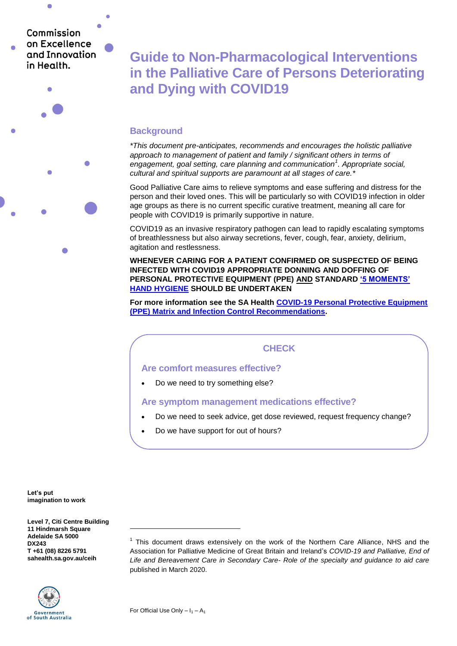Commission on Excellence and Innovation in Health

 $\bullet$ 

 $\sqrt{2}$ 

**Guide to Non-Pharmacological Interventions in the Palliative Care of Persons Deteriorating and Dying with COVID19**

## **Background**

*\*This document pre-anticipates, recommends and encourages the holistic palliative approach to management of patient and family / significant others in terms of engagement, goal setting, care planning and communication<sup>1</sup> . Appropriate social, cultural and spiritual supports are paramount at all stages of care.\**

Good Palliative Care aims to relieve symptoms and ease suffering and distress for the person and their loved ones. This will be particularly so with COVID19 infection in older age groups as there is no current specific curative treatment, meaning all care for people with COVID19 is primarily supportive in nature.

COVID19 as an invasive respiratory pathogen can lead to rapidly escalating symptoms of breathlessness but also airway secretions, fever, cough, fear, anxiety, delirium, agitation and restlessness.

**WHENEVER CARING FOR A PATIENT CONFIRMED OR SUSPECTED OF BEING INFECTED WITH COVID19 APPROPRIATE DONNING AND DOFFING OF PERSONAL PROTECTIVE EQUIPMENT (PPE) AND STANDARD ['5 MOMENTS'](https://www.sahealth.sa.gov.au/wps/wcm/connect/public+content/sa+health+internet/clinical+resources/clinical+programs+and+practice+guidelines/infection+and+injury+management/healthcare+associated+infections/prevention+and+management+of+infections+in+healthcare+settings/prevention+and+management+of+infection+in+healthcare+settings)  [HAND HYGIENE](https://www.sahealth.sa.gov.au/wps/wcm/connect/public+content/sa+health+internet/clinical+resources/clinical+programs+and+practice+guidelines/infection+and+injury+management/healthcare+associated+infections/prevention+and+management+of+infections+in+healthcare+settings/prevention+and+management+of+infection+in+healthcare+settings) SHOULD BE UNDERTAKEN**

**For more information see the SA Health [COVID-19 Personal Protective Equipment](https://www.sahealth.sa.gov.au/wps/wcm/connect/952a07a8-a676-4e53-9603-67c44f2162c3/COVID-19+Personal+Protective+Equipment+Matrix+PPE+Matrix.pdf?MOD=AJPERES&CACHEID=ROOTWORKSPACE-952a07a8-a676-4e53-9603-67c44f2162c3-n7PfGL9)  [\(PPE\) Matrix and Infection Control Recommendations.](https://www.sahealth.sa.gov.au/wps/wcm/connect/952a07a8-a676-4e53-9603-67c44f2162c3/COVID-19+Personal+Protective+Equipment+Matrix+PPE+Matrix.pdf?MOD=AJPERES&CACHEID=ROOTWORKSPACE-952a07a8-a676-4e53-9603-67c44f2162c3-n7PfGL9)**

## **CHECK**

## **Are comfort measures effective?**

Do we need to try something else?

## **Are symptom management medications effective?**

- Do we need to seek advice, get dose reviewed, request frequency change?
- Do we have support for out of hours?

**Let's put imagination to work**

**Level 7, Citi Centre Building 11 Hindmarsh Square Adelaide SA 5000 DX243 T +61 (08) 8226 5791 sahealth.sa.gov.au/ceih**



<sup>1</sup> This document draws extensively on the work of the Northern Care Alliance, NHS and the Association for Palliative Medicine of Great Britain and Ireland's *COVID-19 and Palliative, End of Life and Bereavement Care in Secondary Care- Role of the specialty and guidance to aid care* published in March 2020.

1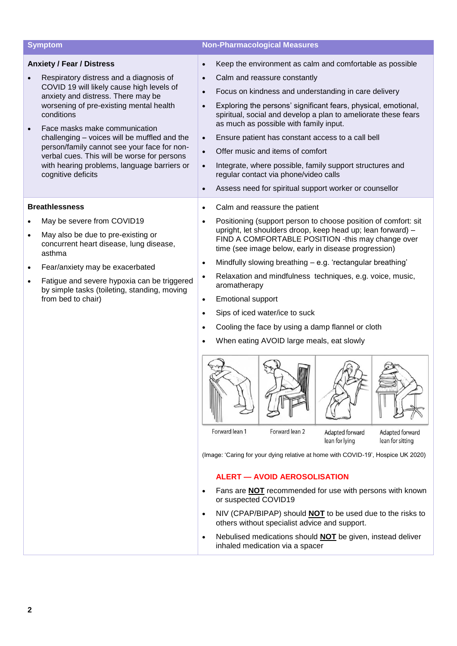|           | <b>Symptom</b>                                                                                                                                                                                                                                                                                                                                                                                                                                                              | <b>Non-Pharmacological Measures</b>                                                                                                                                                                                                                                                                                                                                                                                                                                                                                                                                                                                                                                                                                                                                                                                                                                                                                                                                                                                                                                                                                                                                                                                                                                                          |
|-----------|-----------------------------------------------------------------------------------------------------------------------------------------------------------------------------------------------------------------------------------------------------------------------------------------------------------------------------------------------------------------------------------------------------------------------------------------------------------------------------|----------------------------------------------------------------------------------------------------------------------------------------------------------------------------------------------------------------------------------------------------------------------------------------------------------------------------------------------------------------------------------------------------------------------------------------------------------------------------------------------------------------------------------------------------------------------------------------------------------------------------------------------------------------------------------------------------------------------------------------------------------------------------------------------------------------------------------------------------------------------------------------------------------------------------------------------------------------------------------------------------------------------------------------------------------------------------------------------------------------------------------------------------------------------------------------------------------------------------------------------------------------------------------------------|
|           | <b>Anxiety / Fear / Distress</b><br>Respiratory distress and a diagnosis of<br>COVID 19 will likely cause high levels of<br>anxiety and distress. There may be<br>worsening of pre-existing mental health<br>conditions<br>Face masks make communication<br>challenging - voices will be muffled and the<br>person/family cannot see your face for non-<br>verbal cues. This will be worse for persons<br>with hearing problems, language barriers or<br>cognitive deficits | Keep the environment as calm and comfortable as possible<br>$\bullet$<br>Calm and reassure constantly<br>$\bullet$<br>Focus on kindness and understanding in care delivery<br>$\bullet$<br>Exploring the persons' significant fears, physical, emotional,<br>$\bullet$<br>spiritual, social and develop a plan to ameliorate these fears<br>as much as possible with family input.<br>Ensure patient has constant access to a call bell<br>$\bullet$<br>Offer music and items of comfort<br>$\bullet$<br>Integrate, where possible, family support structures and<br>$\bullet$<br>regular contact via phone/video calls<br>Assess need for spiritual support worker or counsellor<br>$\bullet$                                                                                                                                                                                                                                                                                                                                                                                                                                                                                                                                                                                               |
| $\bullet$ | <b>Breathlessness</b><br>May be severe from COVID19<br>May also be due to pre-existing or<br>concurrent heart disease, lung disease,<br>asthma<br>Fear/anxiety may be exacerbated<br>Fatigue and severe hypoxia can be triggered<br>by simple tasks (toileting, standing, moving<br>from bed to chair)                                                                                                                                                                      | Calm and reassure the patient<br>$\bullet$<br>Positioning (support person to choose position of comfort: sit<br>$\bullet$<br>upright, let shoulders droop, keep head up; lean forward) -<br>FIND A COMFORTABLE POSITION -this may change over<br>time (see image below, early in disease progression)<br>Mindfully slowing breathing - e.g. 'rectangular breathing'<br>$\bullet$<br>Relaxation and mindfulness techniques, e.g. voice, music,<br>$\bullet$<br>aromatherapy<br><b>Emotional support</b><br>$\bullet$<br>Sips of iced water/ice to suck<br>$\bullet$<br>Cooling the face by using a damp flannel or cloth<br>$\bullet$<br>When eating AVOID large meals, eat slowly<br>$\bullet$<br>Forward lean 1<br>Forward lean 2<br>Adapted forward<br>Adapted forward<br>lean for lying<br>lean for sitting<br>(Image: 'Caring for your dying relative at home with COVID-19', Hospice UK 2020)<br><b>ALERT - AVOID AEROSOLISATION</b><br>Fans are <b>NOT</b> recommended for use with persons with known<br>or suspected COVID19<br>NIV (CPAP/BIPAP) should <b>NOT</b> to be used due to the risks to<br>$\bullet$<br>others without specialist advice and support.<br>Nebulised medications should <b>NOT</b> be given, instead deliver<br>$\bullet$<br>inhaled medication via a spacer |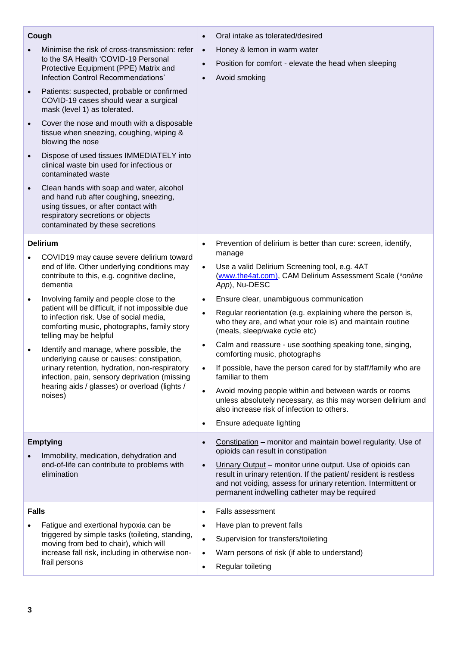| Cough           |                                                                                                                                                                                                                                                     | $\bullet$                                                     | Oral intake as tolerated/desired                                                                                                                                                                                                                                                                                                                                                   |
|-----------------|-----------------------------------------------------------------------------------------------------------------------------------------------------------------------------------------------------------------------------------------------------|---------------------------------------------------------------|------------------------------------------------------------------------------------------------------------------------------------------------------------------------------------------------------------------------------------------------------------------------------------------------------------------------------------------------------------------------------------|
|                 | Minimise the risk of cross-transmission: refer<br>to the SA Health 'COVID-19 Personal<br>Protective Equipment (PPE) Matrix and<br>Infection Control Recommendations'                                                                                | $\bullet$<br>$\bullet$<br>$\bullet$                           | Honey & lemon in warm water<br>Position for comfort - elevate the head when sleeping<br>Avoid smoking                                                                                                                                                                                                                                                                              |
| $\bullet$       | Patients: suspected, probable or confirmed<br>COVID-19 cases should wear a surgical<br>mask (level 1) as tolerated.                                                                                                                                 |                                                               |                                                                                                                                                                                                                                                                                                                                                                                    |
| $\bullet$       | Cover the nose and mouth with a disposable<br>tissue when sneezing, coughing, wiping &<br>blowing the nose                                                                                                                                          |                                                               |                                                                                                                                                                                                                                                                                                                                                                                    |
| $\bullet$       | Dispose of used tissues IMMEDIATELY into<br>clinical waste bin used for infectious or<br>contaminated waste                                                                                                                                         |                                                               |                                                                                                                                                                                                                                                                                                                                                                                    |
| $\bullet$       | Clean hands with soap and water, alcohol<br>and hand rub after coughing, sneezing,<br>using tissues, or after contact with<br>respiratory secretions or objects<br>contaminated by these secretions                                                 |                                                               |                                                                                                                                                                                                                                                                                                                                                                                    |
| <b>Delirium</b> |                                                                                                                                                                                                                                                     | $\bullet$                                                     | Prevention of delirium is better than cure: screen, identify,<br>manage                                                                                                                                                                                                                                                                                                            |
|                 | COVID19 may cause severe delirium toward<br>end of life. Other underlying conditions may<br>contribute to this, e.g. cognitive decline,<br>dementia                                                                                                 | $\bullet$                                                     | Use a valid Delirium Screening tool, e.g. 4AT<br>(www.the4at.com), CAM Delirium Assessment Scale (*online<br>App), Nu-DESC                                                                                                                                                                                                                                                         |
| $\bullet$       | Involving family and people close to the<br>patient will be difficult, if not impossible due<br>to infection risk. Use of social media,<br>comforting music, photographs, family story<br>telling may be helpful                                    | $\bullet$<br>$\bullet$                                        | Ensure clear, unambiguous communication<br>Regular reorientation (e.g. explaining where the person is,<br>who they are, and what your role is) and maintain routine<br>(meals, sleep/wake cycle etc)                                                                                                                                                                               |
| $\bullet$       | Identify and manage, where possible, the<br>underlying cause or causes: constipation,<br>urinary retention, hydration, non-respiratory<br>infection, pain, sensory deprivation (missing<br>hearing aids / glasses) or overload (lights /<br>noises) | $\bullet$<br>$\bullet$<br>$\bullet$<br>$\bullet$              | Calm and reassure - use soothing speaking tone, singing,<br>comforting music, photographs<br>If possible, have the person cared for by staff/family who are<br>familiar to them<br>Avoid moving people within and between wards or rooms<br>unless absolutely necessary, as this may worsen delirium and<br>also increase risk of infection to others.<br>Ensure adequate lighting |
| <b>Emptying</b> |                                                                                                                                                                                                                                                     | $\bullet$                                                     | Constipation - monitor and maintain bowel regularity. Use of                                                                                                                                                                                                                                                                                                                       |
|                 | Immobility, medication, dehydration and<br>end-of-life can contribute to problems with<br>elimination                                                                                                                                               | $\bullet$                                                     | opioids can result in constipation<br>Urinary Output – monitor urine output. Use of opioids can<br>result in urinary retention. If the patient/ resident is restless<br>and not voiding, assess for urinary retention. Intermittent or<br>permanent indwelling catheter may be required                                                                                            |
| <b>Falls</b>    | Fatigue and exertional hypoxia can be<br>triggered by simple tasks (toileting, standing,<br>moving from bed to chair), which will<br>increase fall risk, including in otherwise non-<br>frail persons                                               | $\bullet$<br>$\bullet$<br>$\bullet$<br>$\bullet$<br>$\bullet$ | Falls assessment<br>Have plan to prevent falls<br>Supervision for transfers/toileting<br>Warn persons of risk (if able to understand)<br>Regular toileting                                                                                                                                                                                                                         |